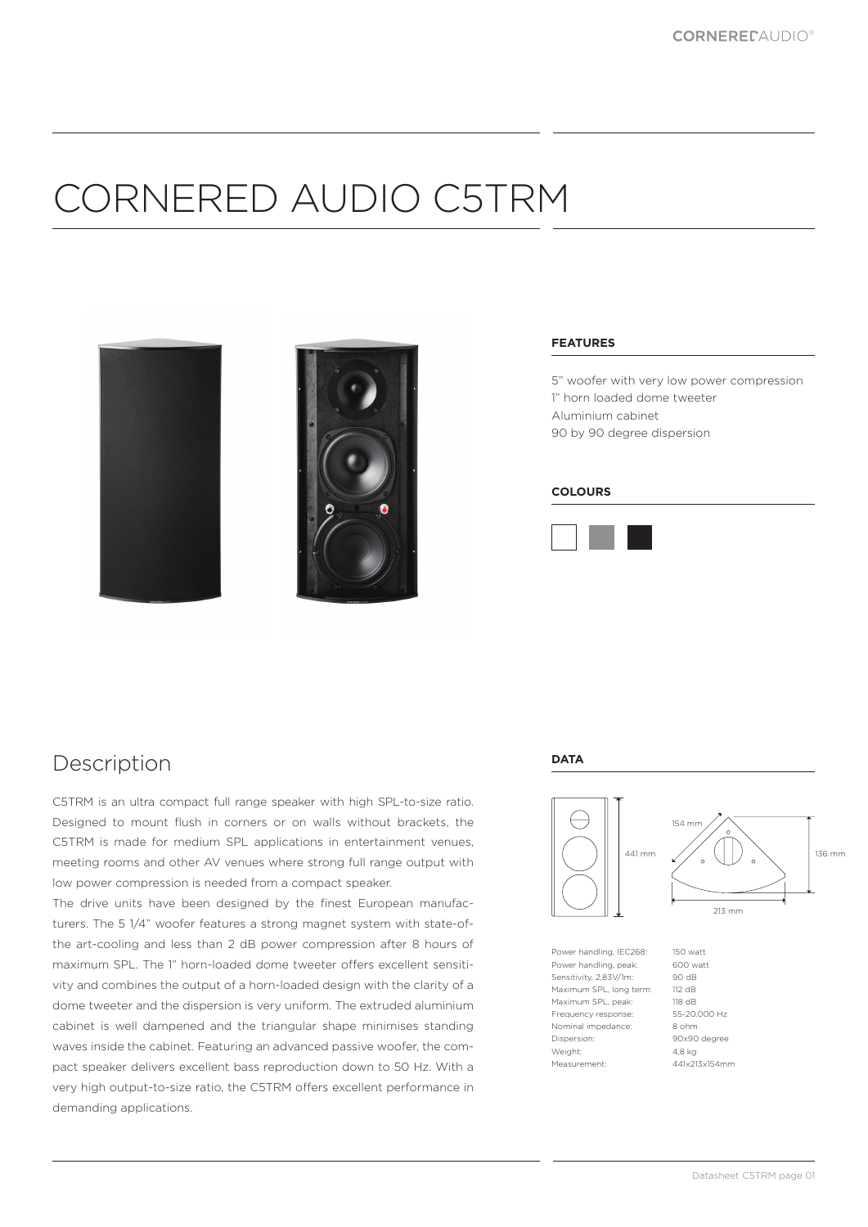# CORNERED AUDIO C5TRM





#### **FEATURES**

5" woofer with very low power compression 1" horn loaded dome tweeter Aluminium cabinet 90 by 90 degree dispersion

#### **COLOURS**



### Description

C5TRM is an ultra compact full range speaker with high SPL-to-size ratio. Designed to mount flush in corners or on walls without brackets, the C5TRM is made for medium SPL applications in entertainment venues, meeting rooms and other AV venues where strong full range output with low power compression is needed from a compact speaker.

The drive units have been designed by the finest European manufacturers. The 5 1/4" woofer features a strong magnet system with state-ofthe art-cooling and less than 2 dB power compression after 8 hours of maximum SPL. The 1" horn-loaded dome tweeter offers excellent sensitivity and combines the output of a horn-loaded design with the clarity of a dome tweeter and the dispersion is very uniform. The extruded aluminium cabinet is well dampened and the triangular shape minimises standing waves inside the cabinet. Featuring an advanced passive woofer, the compact speaker delivers excellent bass reproduction down to 50 Hz. With a very high output-to-size ratio, the C5TRM offers excellent performance in demanding applications.

#### **DATA**